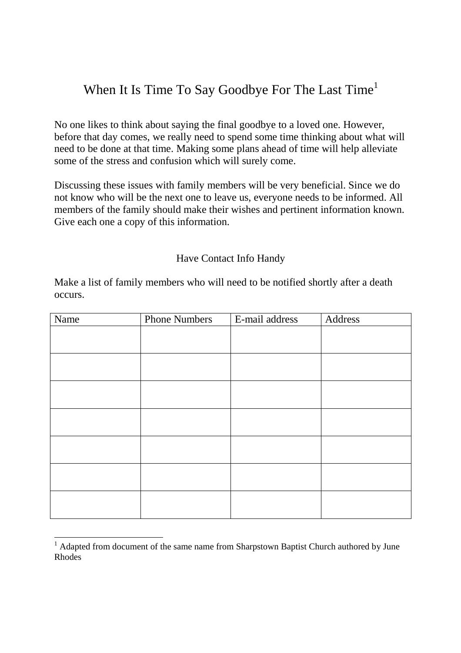## When It Is Time To Say Goodbye For The Last Time<sup>1</sup>

No one likes to think about saying the final goodbye to a loved one. However, before that day comes, we really need to spend some time thinking about what will need to be done at that time. Making some plans ahead of time will help alleviate some of the stress and confusion which will surely come.

Discussing these issues with family members will be very beneficial. Since we do not know who will be the next one to leave us, everyone needs to be informed. All members of the family should make their wishes and pertinent information known. Give each one a copy of this information.

## Have Contact Info Handy

Make a list of family members who will need to be notified shortly after a death occurs.

| Name | <b>Phone Numbers</b> | E-mail address | Address |
|------|----------------------|----------------|---------|
|      |                      |                |         |
|      |                      |                |         |
|      |                      |                |         |
|      |                      |                |         |
|      |                      |                |         |
|      |                      |                |         |
|      |                      |                |         |
|      |                      |                |         |
|      |                      |                |         |
|      |                      |                |         |
|      |                      |                |         |
|      |                      |                |         |
|      |                      |                |         |
|      |                      |                |         |

<sup>&</sup>lt;sup>1</sup> Adapted from document of the same name from Sharpstown Baptist Church authored by June Rhodes

-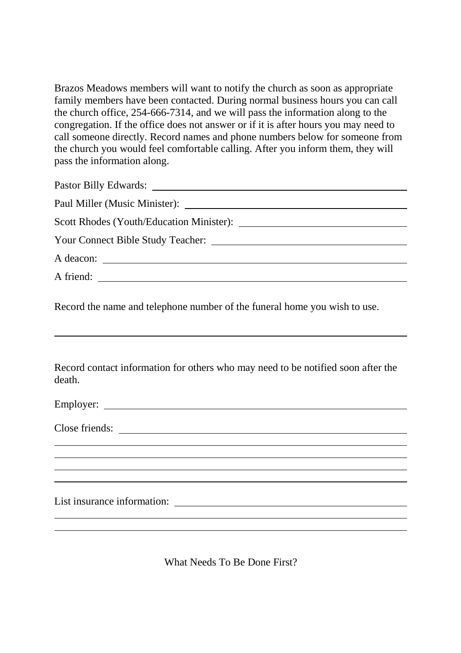Brazos Meadows members will want to notify the church as soon as appropriate family members have been contacted. During normal business hours you can call the church office, 254-666-7314, and we will pass the information along to the congregation. If the office does not answer or if it is after hours you may need to call someone directly. Record names and phone numbers below for someone from the church you would feel comfortable calling. After you inform them, they will pass the information along.

| A friend: |  |
|-----------|--|
|           |  |

Record the name and telephone number of the funeral home you wish to use.

 $\overline{a}$ 

Record contact information for others who may need to be notified soon after the death.

| Close friends:              |  |  |
|-----------------------------|--|--|
|                             |  |  |
|                             |  |  |
|                             |  |  |
|                             |  |  |
|                             |  |  |
| List insurance information: |  |  |

What Needs To Be Done First?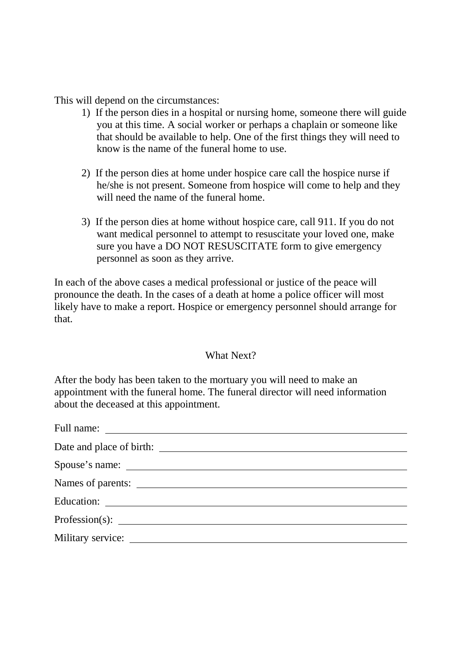This will depend on the circumstances:

- 1) If the person dies in a hospital or nursing home, someone there will guide you at this time. A social worker or perhaps a chaplain or someone like that should be available to help. One of the first things they will need to know is the name of the funeral home to use.
- 2) If the person dies at home under hospice care call the hospice nurse if he/she is not present. Someone from hospice will come to help and they will need the name of the funeral home.
- 3) If the person dies at home without hospice care, call 911. If you do not want medical personnel to attempt to resuscitate your loved one, make sure you have a DO NOT RESUSCITATE form to give emergency personnel as soon as they arrive.

In each of the above cases a medical professional or justice of the peace will pronounce the death. In the cases of a death at home a police officer will most likely have to make a report. Hospice or emergency personnel should arrange for that.

## What Next?

After the body has been taken to the mortuary you will need to make an appointment with the funeral home. The funeral director will need information about the deceased at this appointment.

| Names of parents: |
|-------------------|
|                   |
|                   |
|                   |
|                   |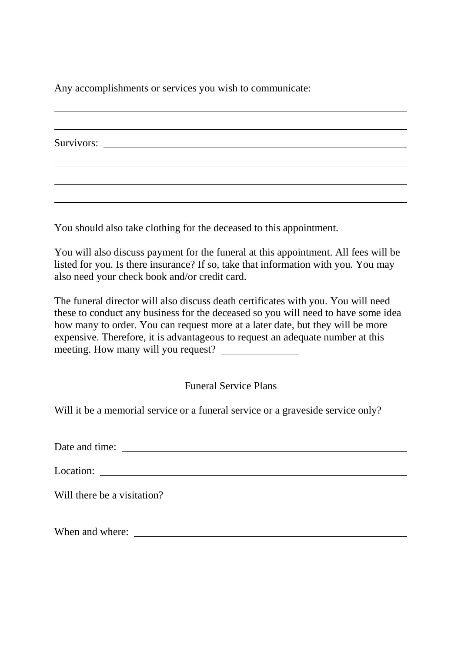Any accomplishments or services you wish to communicate:

Survivors:

 $\overline{a}$ 

You should also take clothing for the deceased to this appointment.

You will also discuss payment for the funeral at this appointment. All fees will be listed for you. Is there insurance? If so, take that information with you. You may also need your check book and/or credit card.

The funeral director will also discuss death certificates with you. You will need these to conduct any business for the deceased so you will need to have some idea how many to order. You can request more at a later date, but they will be more expensive. Therefore, it is advantageous to request an adequate number at this meeting. How many will you request?

Funeral Service Plans

Will it be a memorial service or a funeral service or a graveside service only?

Date and time:

Location:

Will there be a visitation?

When and where: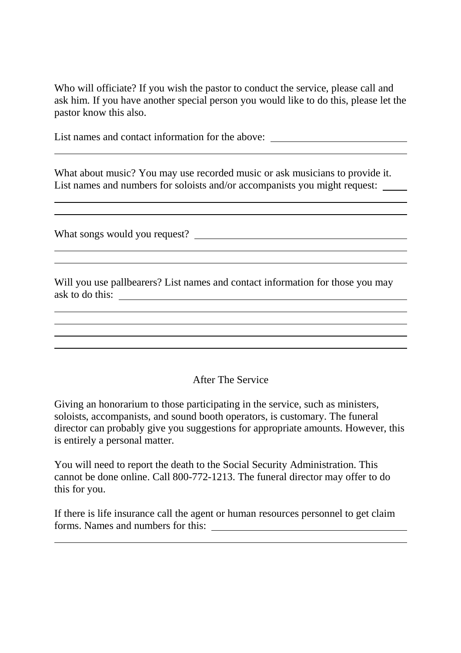Who will officiate? If you wish the pastor to conduct the service, please call and ask him. If you have another special person you would like to do this, please let the pastor know this also.

List names and contact information for the above: \_\_\_\_\_\_\_\_\_\_\_\_\_\_\_\_\_\_\_\_\_\_\_\_\_\_\_\_\_\_\_

What about music? You may use recorded music or ask musicians to provide it. List names and numbers for soloists and/or accompanists you might request:

What songs would you request?

 $\overline{a}$ 

 $\overline{a}$ 

 $\overline{a}$ 

 $\overline{a}$ 

Will you use pallbearers? List names and contact information for those you may ask to do this:

After The Service

Giving an honorarium to those participating in the service, such as ministers, soloists, accompanists, and sound booth operators, is customary. The funeral director can probably give you suggestions for appropriate amounts. However, this is entirely a personal matter.

You will need to report the death to the Social Security Administration. This cannot be done online. Call 800-772-1213. The funeral director may offer to do this for you.

If there is life insurance call the agent or human resources personnel to get claim forms. Names and numbers for this: